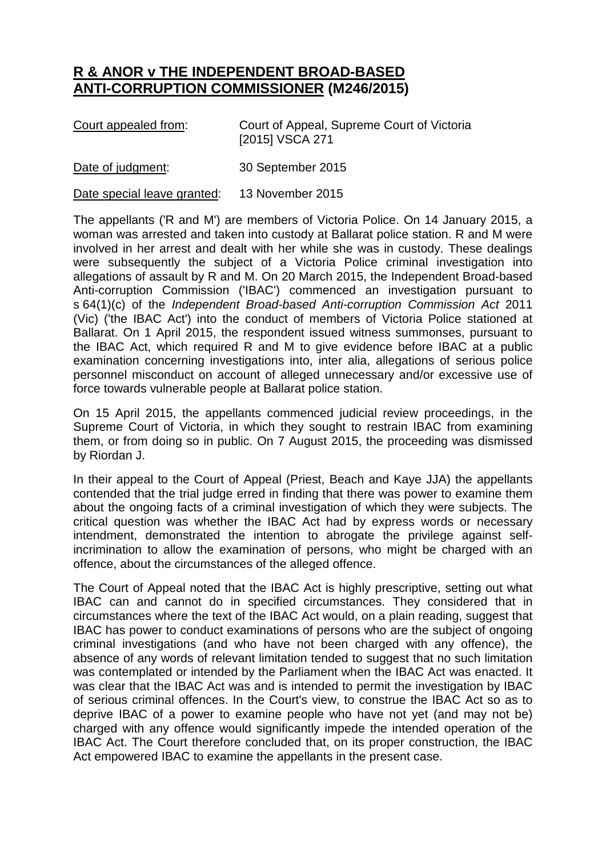## **R & ANOR v THE INDEPENDENT BROAD-BASED ANTI-CORRUPTION COMMISSIONER (M246/2015)**

| Court appealed from: | Court of Appeal, Supreme Court of Victoria |
|----------------------|--------------------------------------------|
|                      | [2015] VSCA 271                            |

Date of judgment: 30 September 2015

Date special leave granted: 13 November 2015

The appellants ('R and M') are members of Victoria Police. On 14 January 2015, a woman was arrested and taken into custody at Ballarat police station. R and M were involved in her arrest and dealt with her while she was in custody. These dealings were subsequently the subject of a Victoria Police criminal investigation into allegations of assault by R and M. On 20 March 2015, the Independent Broad-based Anti-corruption Commission ('IBAC') commenced an investigation pursuant to s 64(1)(c) of the *Independent Broad-based Anti-corruption Commission Act* 2011 (Vic) ('the IBAC Act') into the conduct of members of Victoria Police stationed at Ballarat. On 1 April 2015, the respondent issued witness summonses, pursuant to the IBAC Act, which required R and M to give evidence before IBAC at a public examination concerning investigations into, inter alia, allegations of serious police personnel misconduct on account of alleged unnecessary and/or excessive use of force towards vulnerable people at Ballarat police station.

On 15 April 2015, the appellants commenced judicial review proceedings, in the Supreme Court of Victoria, in which they sought to restrain IBAC from examining them, or from doing so in public. On 7 August 2015, the proceeding was dismissed by Riordan J.

In their appeal to the Court of Appeal (Priest, Beach and Kaye JJA) the appellants contended that the trial judge erred in finding that there was power to examine them about the ongoing facts of a criminal investigation of which they were subjects. The critical question was whether the IBAC Act had by express words or necessary intendment, demonstrated the intention to abrogate the privilege against selfincrimination to allow the examination of persons, who might be charged with an offence, about the circumstances of the alleged offence.

The Court of Appeal noted that the IBAC Act is highly prescriptive, setting out what IBAC can and cannot do in specified circumstances. They considered that in circumstances where the text of the IBAC Act would, on a plain reading, suggest that IBAC has power to conduct examinations of persons who are the subject of ongoing criminal investigations (and who have not been charged with any offence), the absence of any words of relevant limitation tended to suggest that no such limitation was contemplated or intended by the Parliament when the IBAC Act was enacted. It was clear that the IBAC Act was and is intended to permit the investigation by IBAC of serious criminal offences. In the Court's view, to construe the IBAC Act so as to deprive IBAC of a power to examine people who have not yet (and may not be) charged with any offence would significantly impede the intended operation of the IBAC Act. The Court therefore concluded that, on its proper construction, the IBAC Act empowered IBAC to examine the appellants in the present case.